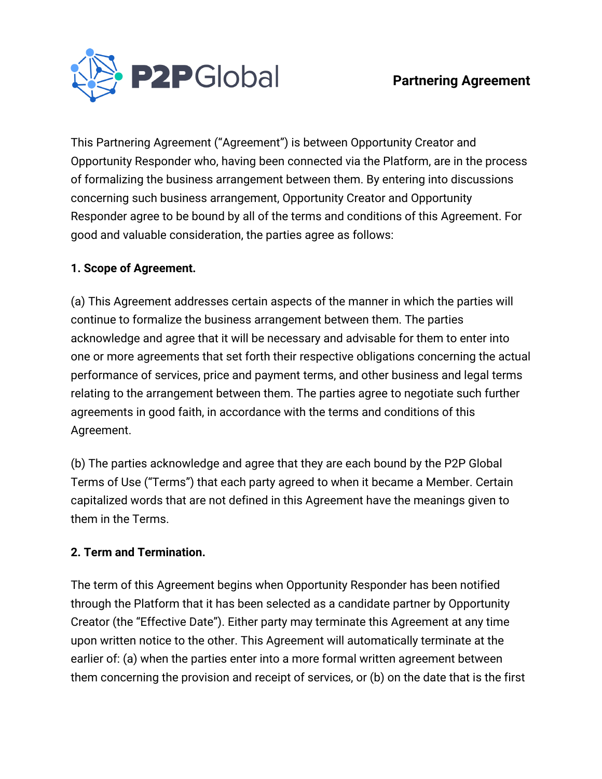



This Partnering Agreement ("Agreement") is between Opportunity Creator and Opportunity Responder who, having been connected via the Platform, are in the process of formalizing the business arrangement between them. By entering into discussions concerning such business arrangement, Opportunity Creator and Opportunity Responder agree to be bound by all of the terms and conditions of this Agreement. For good and valuable consideration, the parties agree as follows:

### **1. Scope of Agreement.**

(a) This Agreement addresses certain aspects of the manner in which the parties will continue to formalize the business arrangement between them. The parties acknowledge and agree that it will be necessary and advisable for them to enter into one or more agreements that set forth their respective obligations concerning the actual performance of services, price and payment terms, and other business and legal terms relating to the arrangement between them. The parties agree to negotiate such further agreements in good faith, in accordance with the terms and conditions of this Agreement.

(b) The parties acknowledge and agree that they are each bound by the P2P Global Terms of Use ("Terms") that each party agreed to when it became a Member. Certain capitalized words that are not defined in this Agreement have the meanings given to them in the Terms.

#### **2. Term and Termination.**

The term of this Agreement begins when Opportunity Responder has been notified through the Platform that it has been selected as a candidate partner by Opportunity Creator (the "Effective Date"). Either party may terminate this Agreement at any time upon written notice to the other. This Agreement will automatically terminate at the earlier of: (a) when the parties enter into a more formal written agreement between them concerning the provision and receipt of services, or (b) on the date that is the first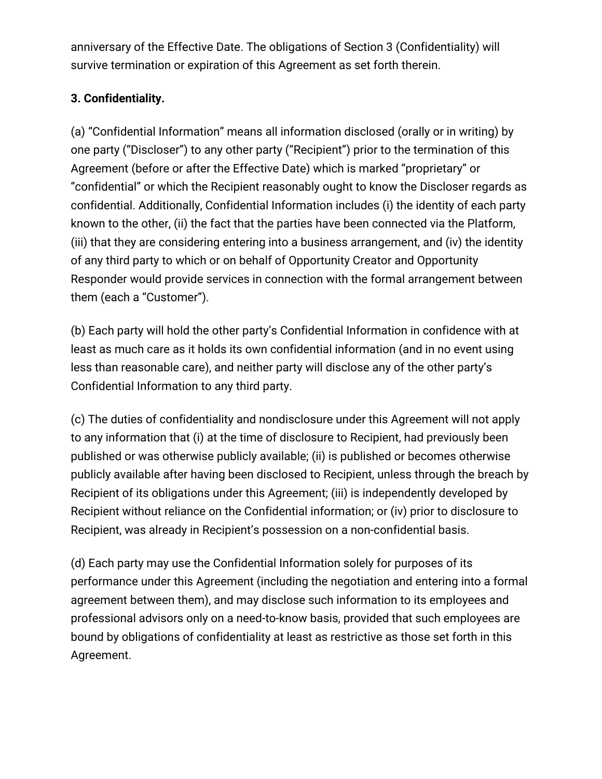anniversary of the Effective Date. The obligations of Section 3 (Confidentiality) will survive termination or expiration of this Agreement as set forth therein.

# **3. Confidentiality.**

(a) "Confidential Information" means all information disclosed (orally or in writing) by one party ("Discloser") to any other party ("Recipient") prior to the termination of this Agreement (before or after the Effective Date) which is marked "proprietary" or "confidential" or which the Recipient reasonably ought to know the Discloser regards as confidential. Additionally, Confidential Information includes (i) the identity of each party known to the other, (ii) the fact that the parties have been connected via the Platform, (iii) that they are considering entering into a business arrangement, and (iv) the identity of any third party to which or on behalf of Opportunity Creator and Opportunity Responder would provide services in connection with the formal arrangement between them (each a "Customer").

(b) Each party will hold the other party's Confidential Information in confidence with at least as much care as it holds its own confidential information (and in no event using less than reasonable care), and neither party will disclose any of the other party's Confidential Information to any third party.

(c) The duties of confidentiality and nondisclosure under this Agreement will not apply to any information that (i) at the time of disclosure to Recipient, had previously been published or was otherwise publicly available; (ii) is published or becomes otherwise publicly available after having been disclosed to Recipient, unless through the breach by Recipient of its obligations under this Agreement; (iii) is independently developed by Recipient without reliance on the Confidential information; or (iv) prior to disclosure to Recipient, was already in Recipient's possession on a non-confidential basis.

(d) Each party may use the Confidential Information solely for purposes of its performance under this Agreement (including the negotiation and entering into a formal agreement between them), and may disclose such information to its employees and professional advisors only on a need-to-know basis, provided that such employees are bound by obligations of confidentiality at least as restrictive as those set forth in this Agreement.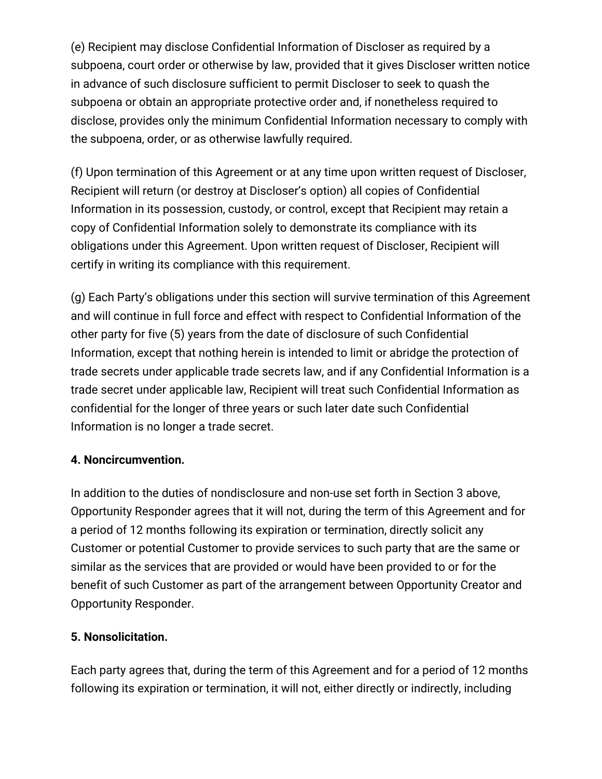(e) Recipient may disclose Confidential Information of Discloser as required by a subpoena, court order or otherwise by law, provided that it gives Discloser written notice in advance of such disclosure sufficient to permit Discloser to seek to quash the subpoena or obtain an appropriate protective order and, if nonetheless required to disclose, provides only the minimum Confidential Information necessary to comply with the subpoena, order, or as otherwise lawfully required.

(f) Upon termination of this Agreement or at any time upon written request of Discloser, Recipient will return (or destroy at Discloser's option) all copies of Confidential Information in its possession, custody, or control, except that Recipient may retain a copy of Confidential Information solely to demonstrate its compliance with its obligations under this Agreement. Upon written request of Discloser, Recipient will certify in writing its compliance with this requirement.

(g) Each Party's obligations under this section will survive termination of this Agreement and will continue in full force and effect with respect to Confidential Information of the other party for five (5) years from the date of disclosure of such Confidential Information, except that nothing herein is intended to limit or abridge the protection of trade secrets under applicable trade secrets law, and if any Confidential Information is a trade secret under applicable law, Recipient will treat such Confidential Information as confidential for the longer of three years or such later date such Confidential Information is no longer a trade secret.

## **4. Noncircumvention.**

In addition to the duties of nondisclosure and non-use set forth in Section 3 above, Opportunity Responder agrees that it will not, during the term of this Agreement and for a period of 12 months following its expiration or termination, directly solicit any Customer or potential Customer to provide services to such party that are the same or similar as the services that are provided or would have been provided to or for the benefit of such Customer as part of the arrangement between Opportunity Creator and Opportunity Responder.

# **5. Nonsolicitation.**

Each party agrees that, during the term of this Agreement and for a period of 12 months following its expiration or termination, it will not, either directly or indirectly, including